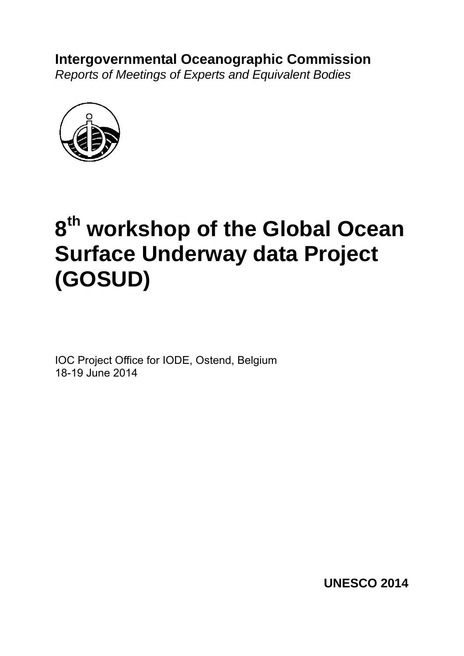# **Intergovernmental Oceanographic Commission**  *Reports of Meetings of Experts and Equivalent Bodies*

# **8th workshop of the Global Ocean Surface Underway data Project (GOSUD)**

IOC Project Office for IODE, Ostend, Belgium 18-19 June 2014

**UNESCO 2014**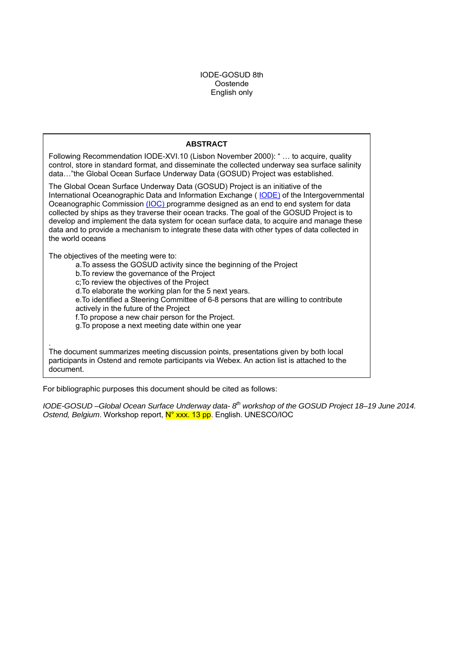## IODE-GOSUD 8th Oostende English only

# **ABSTRACT**

Following Recommendation IODE-XVI.10 (Lisbon November 2000): " … to acquire, quality control, store in standard format, and disseminate the collected underway sea surface salinity data…"the Global Ocean Surface Underway Data (GOSUD) Project was established.

The Global Ocean Surface Underway Data (GOSUD) Project is an initiative of the International Oceanographic Data and Information Exchange ( $IODE$ ) of the Intergovernmental Oceanographic Commission (IOC) programme designed as an end to end system for data collected by ships as they traverse their ocean tracks. The goal of the GOSUD Project is to develop and implement the data system for ocean surface data, to acquire and manage these data and to provide a mechanism to integrate these data with other types of data collected in the world oceans

The objectives of the meeting were to:

a.To assess the GOSUD activity since the beginning of the Project

b.To review the governance of the Project

c;To review the objectives of the Project

d.To elaborate the working plan for the 5 next years.

e.To identified a Steering Committee of 6-8 persons that are willing to contribute actively in the future of the Project

f.To propose a new chair person for the Project.

g.To propose a next meeting date within one year

. The document summarizes meeting discussion points, presentations given by both local participants in Ostend and remote participants via Webex. An action list is attached to the document.

For bibliographic purposes this document should be cited as follows:

*IODE-GOSUD –Global Ocean Surface Underway data-8<sup>th</sup> workshop of the GOSUD Project 18–19 June 2014. Ostend, Belgium*. Workshop report, N° xxx. 13 pp. English. UNESCO/IOC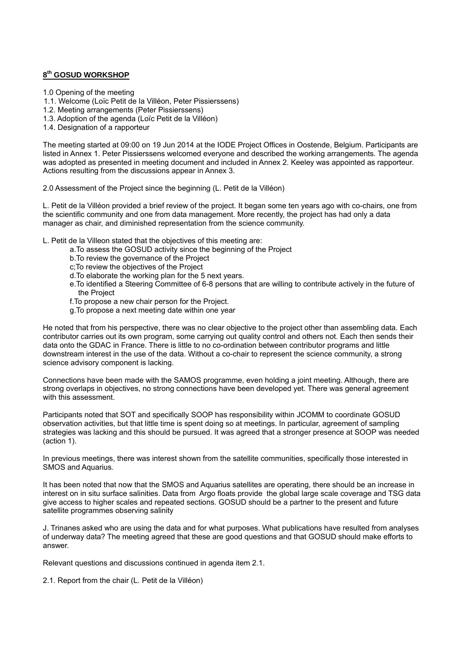# **8th GOSUD WORKSHOP**

1.0 Opening of the meeting

1.1. Welcome (Loïc Petit de la Villéon, Peter Pissierssens)

1.2. Meeting arrangements (Peter Pissierssens)

1.3. Adoption of the agenda (Loïc Petit de la Villéon)

1.4. Designation of a rapporteur

The meeting started at 09:00 on 19 Jun 2014 at the IODE Project Offices in Oostende, Belgium. Participants are listed in Annex 1. Peter Pissierssens welcomed everyone and described the working arrangements. The agenda was adopted as presented in meeting document and included in Annex 2. Keeley was appointed as rapporteur. Actions resulting from the discussions appear in Annex 3.

2.0 Assessment of the Project since the beginning (L. Petit de la Villéon)

L. Petit de la Villéon provided a brief review of the project. It began some ten years ago with co-chairs, one from the scientific community and one from data management. More recently, the project has had only a data manager as chair, and diminished representation from the science community.

L. Petit de la Villeon stated that the objectives of this meeting are:

- a.To assess the GOSUD activity since the beginning of the Project
- b.To review the governance of the Project
- c;To review the objectives of the Project
- d.To elaborate the working plan for the 5 next years.
- e.To identified a Steering Committee of 6-8 persons that are willing to contribute actively in the future of the Project
- f.To propose a new chair person for the Project.
- g.To propose a next meeting date within one year

He noted that from his perspective, there was no clear objective to the project other than assembling data. Each contributor carries out its own program, some carrying out quality control and others not. Each then sends their data onto the GDAC in France. There is little to no co-ordination between contributor programs and little downstream interest in the use of the data. Without a co-chair to represent the science community, a strong science advisory component is lacking.

Connections have been made with the SAMOS programme, even holding a joint meeting. Although, there are strong overlaps in objectives, no strong connections have been developed yet. There was general agreement with this assessment.

Participants noted that SOT and specifically SOOP has responsibility within JCOMM to coordinate GOSUD observation activities, but that little time is spent doing so at meetings. In particular, agreement of sampling strategies was lacking and this should be pursued. It was agreed that a stronger presence at SOOP was needed (action 1).

In previous meetings, there was interest shown from the satellite communities, specifically those interested in SMOS and Aquarius.

It has been noted that now that the SMOS and Aquarius satellites are operating, there should be an increase in interest on in situ surface salinities. Data from Argo floats provide the global large scale coverage and TSG data give access to higher scales and repeated sections. GOSUD should be a partner to the present and future satellite programmes observing salinity

J. Trinanes asked who are using the data and for what purposes. What publications have resulted from analyses of underway data? The meeting agreed that these are good questions and that GOSUD should make efforts to answer.

Relevant questions and discussions continued in agenda item 2.1.

2.1. Report from the chair (L. Petit de la Villéon)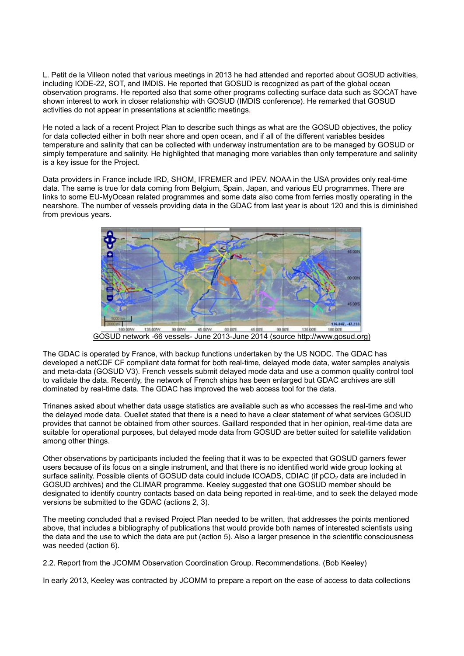L. Petit de la Villeon noted that various meetings in 2013 he had attended and reported about GOSUD activities, including IODE-22, SOT, and IMDIS. He reported that GOSUD is recognized as part of the global ocean observation programs. He reported also that some other programs collecting surface data such as SOCAT have shown interest to work in closer relationship with GOSUD (IMDIS conference). He remarked that GOSUD activities do not appear in presentations at scientific meetings.

He noted a lack of a recent Project Plan to describe such things as what are the GOSUD objectives, the policy for data collected either in both near shore and open ocean, and if all of the different variables besides temperature and salinity that can be collected with underway instrumentation are to be managed by GOSUD or simply temperature and salinity. He highlighted that managing more variables than only temperature and salinity is a key issue for the Project.

Data providers in France include IRD, SHOM, IFREMER and IPEV. NOAA in the USA provides only real-time data. The same is true for data coming from Belgium, Spain, Japan, and various EU programmes. There are links to some EU-MyOcean related programmes and some data also come from ferries mostly operating in the nearshore. The number of vessels providing data in the GDAC from last year is about 120 and this is diminished from previous years.



GOSUD network -66 vessels- June 2013-June 2014 (source http://www.gosud.org)

The GDAC is operated by France, with backup functions undertaken by the US NODC. The GDAC has developed a netCDF CF compliant data format for both real-time, delayed mode data, water samples analysis and meta-data (GOSUD V3). French vessels submit delayed mode data and use a common quality control tool to validate the data. Recently, the network of French ships has been enlarged but GDAC archives are still dominated by real-time data. The GDAC has improved the web access tool for the data.

Trinanes asked about whether data usage statistics are available such as who accesses the real-time and who the delayed mode data. Ouellet stated that there is a need to have a clear statement of what services GOSUD provides that cannot be obtained from other sources. Gaillard responded that in her opinion, real-time data are suitable for operational purposes, but delayed mode data from GOSUD are better suited for satellite validation among other things.

Other observations by participants included the feeling that it was to be expected that GOSUD garners fewer users because of its focus on a single instrument, and that there is no identified world wide group looking at surface salinity. Possible clients of GOSUD data could include ICOADS, CDIAC (if pCO<sub>2</sub> data are included in GOSUD archives) and the CLIMAR programme. Keeley suggested that one GOSUD member should be designated to identify country contacts based on data being reported in real-time, and to seek the delayed mode versions be submitted to the GDAC (actions 2, 3).

The meeting concluded that a revised Project Plan needed to be written, that addresses the points mentioned above, that includes a bibliography of publications that would provide both names of interested scientists using the data and the use to which the data are put (action 5). Also a larger presence in the scientific consciousness was needed (action 6).

2.2. Report from the JCOMM Observation Coordination Group. Recommendations. (Bob Keeley)

In early 2013, Keeley was contracted by JCOMM to prepare a report on the ease of access to data collections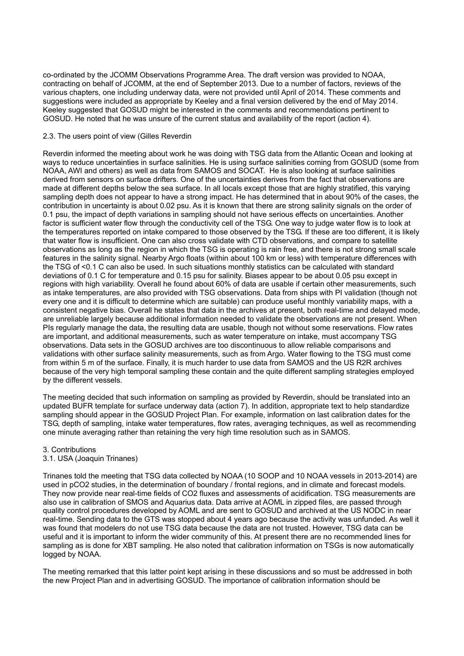co-ordinated by the JCOMM Observations Programme Area. The draft version was provided to NOAA, contracting on behalf of JCOMM, at the end of September 2013. Due to a number of factors, reviews of the various chapters, one including underway data, were not provided until April of 2014. These comments and suggestions were included as appropriate by Keeley and a final version delivered by the end of May 2014. Keeley suggested that GOSUD might be interested in the comments and recommendations pertinent to GOSUD. He noted that he was unsure of the current status and availability of the report (action 4).

#### 2.3. The users point of view (Gilles Reverdin

Reverdin informed the meeting about work he was doing with TSG data from the Atlantic Ocean and looking at ways to reduce uncertainties in surface salinities. He is using surface salinities coming from GOSUD (some from NOAA, AWI and others) as well as data from SAMOS and SOCAT. He is also looking at surface salinities derived from sensors on surface drifters. One of the uncertainties derives from the fact that observations are made at different depths below the sea surface. In all locals except those that are highly stratified, this varying sampling depth does not appear to have a strong impact. He has determined that in about 90% of the cases, the contribution in uncertainty is about 0.02 psu. As it is known that there are strong salinity signals on the order of 0.1 psu, the impact of depth variations in sampling should not have serious effects on uncertainties. Another factor is sufficient water flow through the conductivity cell of the TSG. One way to judge water flow is to look at the temperatures reported on intake compared to those observed by the TSG. If these are too different, it is likely that water flow is insufficient. One can also cross validate with CTD observations, and compare to satellite observations as long as the region in which the TSG is operating is rain free, and there is not strong small scale features in the salinity signal. Nearby Argo floats (within about 100 km or less) with temperature differences with the TSG of <0.1 C can also be used. In such situations monthly statistics can be calculated with standard deviations of 0.1 C for temperature and 0.15 psu for salinity. Biases appear to be about 0.05 psu except in regions with high variability. Overall he found about 60% of data are usable if certain other measurements, such as intake temperatures, are also provided with TSG observations. Data from ships with PI validation (though not every one and it is difficult to determine which are suitable) can produce useful monthly variability maps, with a consistent negative bias. Overall he states that data in the archives at present, both real-time and delayed mode, are unreliable largely because additional information needed to validate the observations are not present. When PIs regularly manage the data, the resulting data are usable, though not without some reservations. Flow rates are important, and additional measurements, such as water temperature on intake, must accompany TSG observations. Data sets in the GOSUD archives are too discontinuous to allow reliable comparisons and validations with other surface salinity measurements, such as from Argo. Water flowing to the TSG must come from within 5 m of the surface. Finally, it is much harder to use data from SAMOS and the US R2R archives because of the very high temporal sampling these contain and the quite different sampling strategies employed by the different vessels.

The meeting decided that such information on sampling as provided by Reverdin, should be translated into an updated BUFR template for surface underway data (action 7). In addition, appropriate text to help standardize sampling should appear in the GOSUD Project Plan. For example, information on last calibration dates for the TSG, depth of sampling, intake water temperatures, flow rates, averaging techniques, as well as recommending one minute averaging rather than retaining the very high time resolution such as in SAMOS.

#### 3. Contributions

#### 3.1. USA (Joaquin Trinanes)

Trinanes told the meeting that TSG data collected by NOAA (10 SOOP and 10 NOAA vessels in 2013-2014) are used in pCO2 studies, in the determination of boundary / frontal regions, and in climate and forecast models. They now provide near real-time fields of CO2 fluxes and assessments of acidification. TSG measurements are also use in calibration of SMOS and Aquarius data. Data arrive at AOML in zipped files, are passed through quality control procedures developed by AOML and are sent to GOSUD and archived at the US NODC in near real-time. Sending data to the GTS was stopped about 4 years ago because the activity was unfunded. As well it was found that modelers do not use TSG data because the data are not trusted. However, TSG data can be useful and it is important to inform the wider community of this. At present there are no recommended lines for sampling as is done for XBT sampling. He also noted that calibration information on TSGs is now automatically logged by NOAA.

The meeting remarked that this latter point kept arising in these discussions and so must be addressed in both the new Project Plan and in advertising GOSUD. The importance of calibration information should be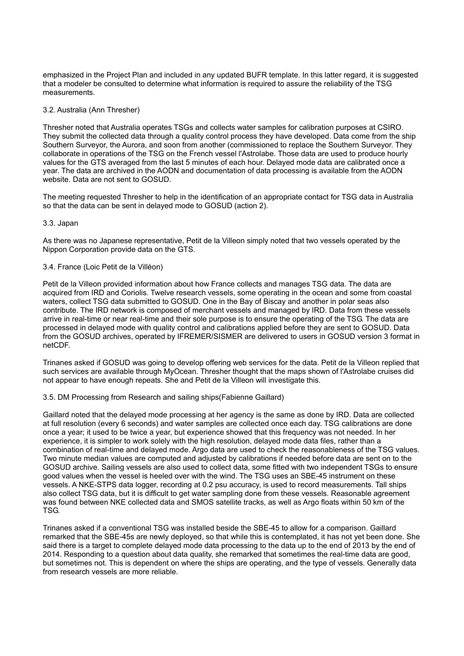emphasized in the Project Plan and included in any updated BUFR template. In this latter regard, it is suggested that a modeler be consulted to determine what information is required to assure the reliability of the TSG measurements.

#### 3.2. Australia (Ann Thresher)

Thresher noted that Australia operates TSGs and collects water samples for calibration purposes at CSIRO. They submit the collected data through a quality control process they have developed. Data come from the ship Southern Surveyor, the Aurora, and soon from another (commissioned to replace the Southern Surveyor. They collaborate in operations of the TSG on the French vessel l'Astrolabe. Those data are used to produce hourly values for the GTS averaged from the last 5 minutes of each hour. Delayed mode data are calibrated once a year. The data are archived in the AODN and documentation of data processing is available from the AODN website. Data are not sent to GOSUD.

The meeting requested Thresher to help in the identification of an appropriate contact for TSG data in Australia so that the data can be sent in delayed mode to GOSUD (action 2).

#### 3.3. Japan

As there was no Japanese representative, Petit de la Villeon simply noted that two vessels operated by the Nippon Corporation provide data on the GTS.

#### 3.4. France (Loic Petit de la Villéon)

Petit de la Villeon provided information about how France collects and manages TSG data. The data are acquired from IRD and Coriolis. Twelve research vessels, some operating in the ocean and some from coastal waters, collect TSG data submitted to GOSUD. One in the Bay of Biscay and another in polar seas also contribute. The IRD network is composed of merchant vessels and managed by IRD. Data from these vessels arrive in real-time or near real-time and their sole purpose is to ensure the operating of the TSG. The data are processed in delayed mode with quality control and calibrations applied before they are sent to GOSUD. Data from the GOSUD archives, operated by IFREMER/SISMER are delivered to users in GOSUD version 3 format in netCDF.

Trinanes asked if GOSUD was going to develop offering web services for the data. Petit de la Villeon replied that such services are available through MyOcean. Thresher thought that the maps shown of l'Astrolabe cruises did not appear to have enough repeats. She and Petit de la Villeon will investigate this.

3.5. DM Processing from Research and sailing ships(Fabienne Gaillard)

Gaillard noted that the delayed mode processing at her agency is the same as done by IRD. Data are collected at full resolution (every 6 seconds) and water samples are collected once each day. TSG calibrations are done once a year; it used to be twice a year, but experience showed that this frequency was not needed. In her experience, it is simpler to work solely with the high resolution, delayed mode data files, rather than a combination of real-time and delayed mode. Argo data are used to check the reasonableness of the TSG values. Two minute median values are computed and adjusted by calibrations if needed before data are sent on to the GOSUD archive. Sailing vessels are also used to collect data, some fitted with two independent TSGs to ensure good values when the vessel is heeled over with the wind. The TSG uses an SBE-45 instrument on these vessels. A NKE-STPS data logger, recording at 0.2 psu accuracy, is used to record measurements. Tall ships also collect TSG data, but it is difficult to get water sampling done from these vessels. Reasonable agreement was found between NKE collected data and SMOS satellite tracks, as well as Argo floats within 50 km of the TSG.

Trinanes asked if a conventional TSG was installed beside the SBE-45 to allow for a comparison. Gaillard remarked that the SBE-45s are newly deployed, so that while this is contemplated, it has not yet been done. She said there is a target to complete delayed mode data processing to the data up to the end of 2013 by the end of 2014. Responding to a question about data quality, she remarked that sometimes the real-time data are good, but sometimes not. This is dependent on where the ships are operating, and the type of vessels. Generally data from research vessels are more reliable.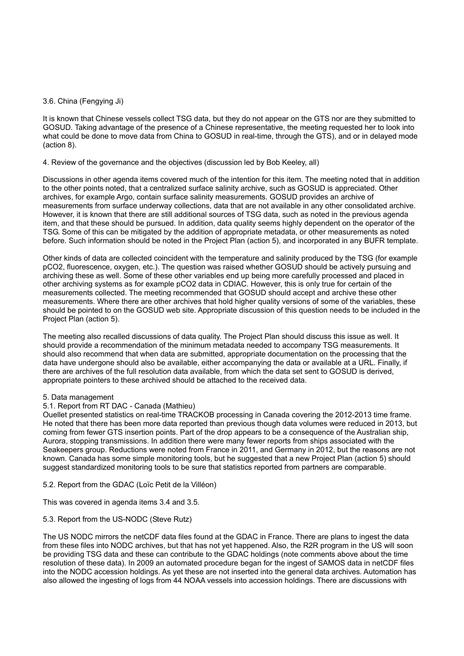## 3.6. China (Fengying Ji)

It is known that Chinese vessels collect TSG data, but they do not appear on the GTS nor are they submitted to GOSUD. Taking advantage of the presence of a Chinese representative, the meeting requested her to look into what could be done to move data from China to GOSUD in real-time, through the GTS), and or in delayed mode (action 8).

## 4. Review of the governance and the objectives (discussion led by Bob Keeley, all)

Discussions in other agenda items covered much of the intention for this item. The meeting noted that in addition to the other points noted, that a centralized surface salinity archive, such as GOSUD is appreciated. Other archives, for example Argo, contain surface salinity measurements. GOSUD provides an archive of measurements from surface underway collections, data that are not available in any other consolidated archive. However, it is known that there are still additional sources of TSG data, such as noted in the previous agenda item, and that these should be pursued. In addition, data quality seems highly dependent on the operator of the TSG. Some of this can be mitigated by the addition of appropriate metadata, or other measurements as noted before. Such information should be noted in the Project Plan (action 5), and incorporated in any BUFR template.

Other kinds of data are collected coincident with the temperature and salinity produced by the TSG (for example pCO2, fluorescence, oxygen, etc.). The question was raised whether GOSUD should be actively pursuing and archiving these as well. Some of these other variables end up being more carefully processed and placed in other archiving systems as for example pCO2 data in CDIAC. However, this is only true for certain of the measurements collected. The meeting recommended that GOSUD should accept and archive these other measurements. Where there are other archives that hold higher quality versions of some of the variables, these should be pointed to on the GOSUD web site. Appropriate discussion of this question needs to be included in the Project Plan (action 5).

The meeting also recalled discussions of data quality. The Project Plan should discuss this issue as well. It should provide a recommendation of the minimum metadata needed to accompany TSG measurements. It should also recommend that when data are submitted, appropriate documentation on the processing that the data have undergone should also be available, either accompanying the data or available at a URL. Finally, if there are archives of the full resolution data available, from which the data set sent to GOSUD is derived, appropriate pointers to these archived should be attached to the received data.

#### 5. Data management

# 5.1. Report from RT DAC - Canada (Mathieu)

Ouellet presented statistics on real-time TRACKOB processing in Canada covering the 2012-2013 time frame. He noted that there has been more data reported than previous though data volumes were reduced in 2013, but coming from fewer GTS insertion points. Part of the drop appears to be a consequence of the Australian ship, Aurora, stopping transmissions. In addition there were many fewer reports from ships associated with the Seakeepers group. Reductions were noted from France in 2011, and Germany in 2012, but the reasons are not known. Canada has some simple monitoring tools, but he suggested that a new Project Plan (action 5) should suggest standardized monitoring tools to be sure that statistics reported from partners are comparable.

#### 5.2. Report from the GDAC (Loïc Petit de la Villéon)

This was covered in agenda items 3.4 and 3.5.

#### 5.3. Report from the US-NODC (Steve Rutz)

The US NODC mirrors the netCDF data files found at the GDAC in France. There are plans to ingest the data from these files into NODC archives, but that has not yet happened. Also, the R2R program in the US will soon be providing TSG data and these can contribute to the GDAC holdings (note comments above about the time resolution of these data). In 2009 an automated procedure began for the ingest of SAMOS data in netCDF files into the NODC accession holdings. As yet these are not inserted into the general data archives. Automation has also allowed the ingesting of logs from 44 NOAA vessels into accession holdings. There are discussions with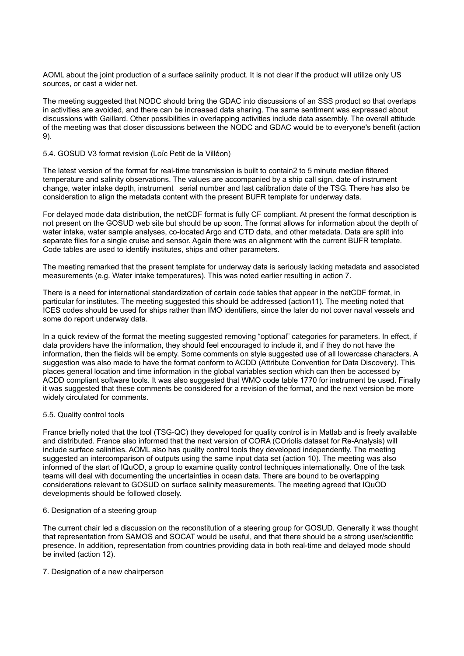AOML about the joint production of a surface salinity product. It is not clear if the product will utilize only US sources, or cast a wider net.

The meeting suggested that NODC should bring the GDAC into discussions of an SSS product so that overlaps in activities are avoided, and there can be increased data sharing. The same sentiment was expressed about discussions with Gaillard. Other possibilities in overlapping activities include data assembly. The overall attitude of the meeting was that closer discussions between the NODC and GDAC would be to everyone's benefit (action 9).

#### 5.4. GOSUD V3 format revision (Loïc Petit de la Villéon)

The latest version of the format for real-time transmission is built to contain2 to 5 minute median filtered temperature and salinity observations. The values are accompanied by a ship call sign, date of instrument change, water intake depth, instrument serial number and last calibration date of the TSG. There has also be consideration to align the metadata content with the present BUFR template for underway data.

For delayed mode data distribution, the netCDF format is fully CF compliant. At present the format description is not present on the GOSUD web site but should be up soon. The format allows for information about the depth of water intake, water sample analyses, co-located Argo and CTD data, and other metadata. Data are split into separate files for a single cruise and sensor. Again there was an alignment with the current BUFR template. Code tables are used to identify institutes, ships and other parameters.

The meeting remarked that the present template for underway data is seriously lacking metadata and associated measurements (e.g. Water intake temperatures). This was noted earlier resulting in action 7.

There is a need for international standardization of certain code tables that appear in the netCDF format, in particular for institutes. The meeting suggested this should be addressed (action11). The meeting noted that ICES codes should be used for ships rather than IMO identifiers, since the later do not cover naval vessels and some do report underway data.

In a quick review of the format the meeting suggested removing "optional" categories for parameters. In effect, if data providers have the information, they should feel encouraged to include it, and if they do not have the information, then the fields will be empty. Some comments on style suggested use of all lowercase characters. A suggestion was also made to have the format conform to ACDD (Attribute Convention for Data Discovery). This places general location and time information in the global variables section which can then be accessed by ACDD compliant software tools. It was also suggested that WMO code table 1770 for instrument be used. Finally it was suggested that these comments be considered for a revision of the format, and the next version be more widely circulated for comments.

#### 5.5. Quality control tools

France briefly noted that the tool (TSG-QC) they developed for quality control is in Matlab and is freely available and distributed. France also informed that the next version of CORA (COriolis dataset for Re-Analysis) will include surface salinities. AOML also has quality control tools they developed independently. The meeting suggested an intercomparison of outputs using the same input data set (action 10). The meeting was also informed of the start of IQuOD, a group to examine quality control techniques internationally. One of the task teams will deal with documenting the uncertainties in ocean data. There are bound to be overlapping considerations relevant to GOSUD on surface salinity measurements. The meeting agreed that IQuOD developments should be followed closely.

#### 6. Designation of a steering group

The current chair led a discussion on the reconstitution of a steering group for GOSUD. Generally it was thought that representation from SAMOS and SOCAT would be useful, and that there should be a strong user/scientific presence. In addition, representation from countries providing data in both real-time and delayed mode should be invited (action 12).

#### 7. Designation of a new chairperson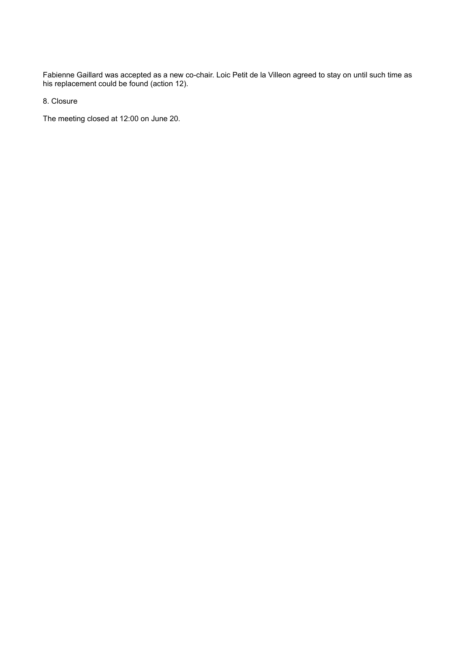Fabienne Gaillard was accepted as a new co-chair. Loic Petit de la Villeon agreed to stay on until such time as his replacement could be found (action 12).

8. Closure

The meeting closed at 12:00 on June 20.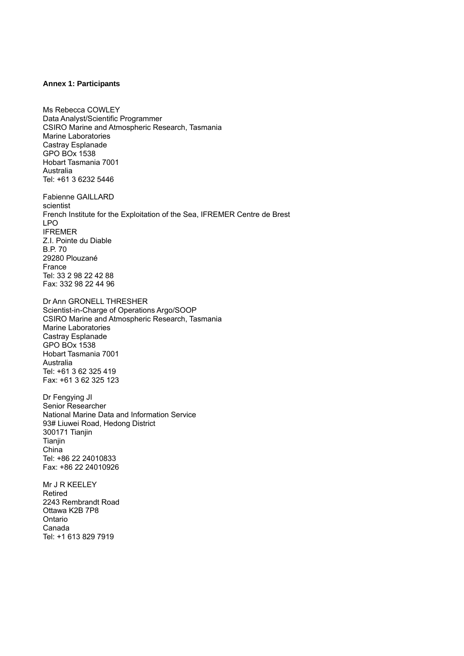#### **Annex 1: Participants**

Ms Rebecca COWLEY Data Analyst/Scientific Programmer CSIRO Marine and Atmospheric Research, Tasmania Marine Laboratories Castray Esplanade GPO BOx 1538 Hobart Tasmania 7001 Australia Tel: +61 3 6232 5446

Fabienne GAILLARD scientist French Institute for the Exploitation of the Sea, IFREMER Centre de Brest LPO IFREMER Z.I. Pointe du Diable B.P. 70 29280 Plouzané France Tel: 33 2 98 22 42 88 Fax: 332 98 22 44 96

Dr Ann GRONELL THRESHER Scientist-in-Charge of Operations Argo/SOOP CSIRO Marine and Atmospheric Research, Tasmania Marine Laboratories Castray Esplanade GPO BOx 1538 Hobart Tasmania 7001 Australia Tel: +61 3 62 325 419 Fax: +61 3 62 325 123

Dr Fengying JI Senior Researcher National Marine Data and Information Service 93# Liuwei Road, Hedong District 300171 Tianjin Tianjin China Tel: +86 22 24010833 Fax: +86 22 24010926

Mr J R KEELEY Retired 2243 Rembrandt Road Ottawa K2B 7P8 Ontario Canada Tel: +1 613 829 7919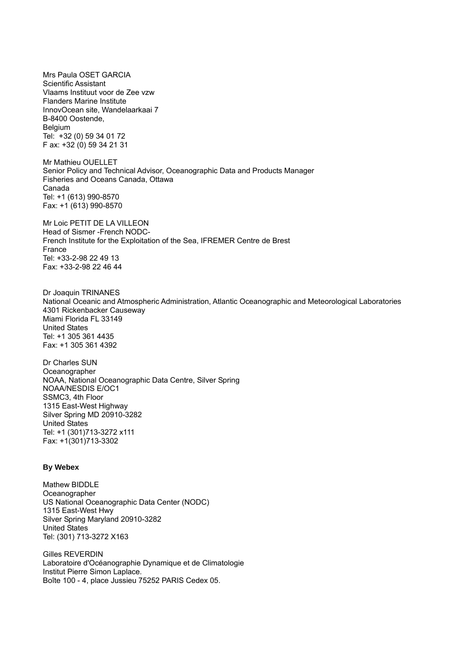Mrs Paula OSET GARCIA Scientific Assistant Vlaams Instituut voor de Zee vzw Flanders Marine Institute InnovOcean site, Wandelaarkaai 7 B-8400 Oostende, Belgium Tel: +32 (0) 59 34 01 72 F ax: +32 (0) 59 34 21 31 Mr Mathieu OUELLET Senior Policy and Technical Advisor, Oceanographic Data and Products Manager Fisheries and Oceans Canada, Ottawa Canada Tel: +1 (613) 990-8570 Fax: +1 (613) 990-8570 Mr Loic PETIT DE LA VILLEON Head of Sismer -French NODC-French Institute for the Exploitation of the Sea, IFREMER Centre de Brest France Tel: +33-2-98 22 49 13 Fax: +33-2-98 22 46 44 Dr Joaquin TRINANES National Oceanic and Atmospheric Administration, Atlantic Oceanographic and Meteorological Laboratories 4301 Rickenbacker Causeway Miami Florida FL 33149 United States Tel: +1 305 361 4435 Fax: +1 305 361 4392

Dr Charles SUN **Oceanographer** NOAA, National Oceanographic Data Centre, Silver Spring NOAA/NESDIS E/OC1 SSMC3, 4th Floor 1315 East-West Highway Silver Spring MD 20910-3282 United States Tel: +1 (301)713-3272 x111 Fax: +1(301)713-3302

#### **By Webex**

Mathew BIDDLE Oceanographer US National Oceanographic Data Center (NODC) 1315 East-West Hwy Silver Spring Maryland 20910-3282 United States Tel: (301) 713-3272 X163

Gilles REVERDIN Laboratoire d'Océanographie Dynamique et de Climatologie Institut Pierre Simon Laplace. Boîte 100 - 4, place Jussieu 75252 PARIS Cedex 05.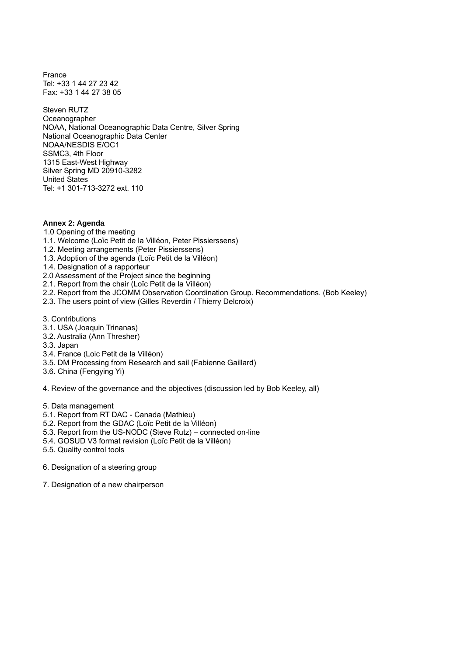France Tel: +33 1 44 27 23 42 Fax: +33 1 44 27 38 05

Steven RUTZ Oceanographer NOAA, National Oceanographic Data Centre, Silver Spring National Oceanographic Data Center NOAA/NESDIS E/OC1 SSMC3, 4th Floor 1315 East-West Highway Silver Spring MD 20910-3282 United States Tel: +1 301-713-3272 ext. 110

#### **Annex 2: Agenda**

- 1.0 Opening of the meeting
- 1.1. Welcome (Loïc Petit de la Villéon, Peter Pissierssens)
- 1.2. Meeting arrangements (Peter Pissierssens)
- 1.3. Adoption of the agenda (Loïc Petit de la Villéon)
- 1.4. Designation of a rapporteur
- 2.0 Assessment of the Project since the beginning
- 2.1. Report from the chair (Loïc Petit de la Villéon)
- 2.2. Report from the JCOMM Observation Coordination Group. Recommendations. (Bob Keeley)
- 2.3. The users point of view (Gilles Reverdin / Thierry Delcroix)
- 3. Contributions
- 3.1. USA (Joaquin Trinanas)
- 3.2. Australia (Ann Thresher)
- 3.3. Japan
- 3.4. France (Loic Petit de la Villéon)
- 3.5. DM Processing from Research and sail (Fabienne Gaillard)
- 3.6. China (Fengying Yi)

4. Review of the governance and the objectives (discussion led by Bob Keeley, all)

- 5. Data management
- 5.1. Report from RT DAC Canada (Mathieu)
- 5.2. Report from the GDAC (Loïc Petit de la Villéon)
- 5.3. Report from the US-NODC (Steve Rutz) connected on-line
- 5.4. GOSUD V3 format revision (Loïc Petit de la Villéon)
- 5.5. Quality control tools
- 6. Designation of a steering group
- 7. Designation of a new chairperson